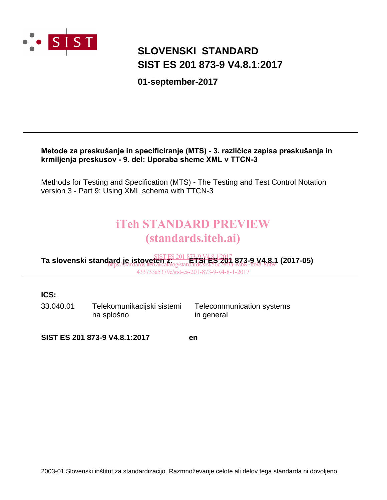

# **SIST ES 201 873-9 V4.8.1:2017 SLOVENSKI STANDARD**

**01-september-2017**

#### Metode za preskušanje in specificiranje (MTS) - 3. različica zapisa preskušanja in krmiljenja preskusov - 9. del: Uporaba sheme XML v TTCN-3

Methods for Testing and Specification (MTS) - The Testing and Test Control Notation version 3 - Part 9: Using XML schema with TTCN-3

# iTeh STANDARD PREVIEW (standards.iteh.ai)

**Ta slovenski standard je istoveten z: ETSI ES 201 873-9 V4.8.1 (2017-05)** SIST ES 201 873-9 V4.8.1:2017 https://standards.iteh.ai/catalog/standards/sist/56c2ef3a-eab8-4b98-8bb9- 433733a5379c/sist-es-201-873-9-v4-8-1-2017

#### **ICS:**

33.040.01 Telekomunikacijski sistemi na splošno

Telecommunication systems in general

**SIST ES 201 873-9 V4.8.1:2017 en**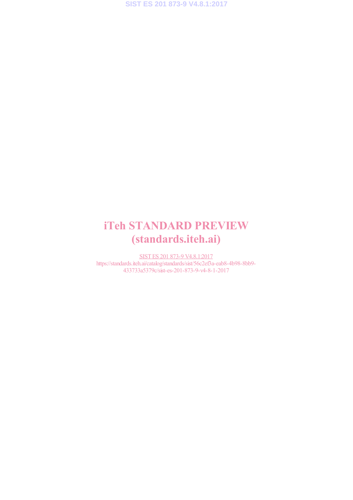# iTeh STANDARD PREVIEW (standards.iteh.ai)

SIST ES 201 873-9 V4.8.1:2017 https://standards.iteh.ai/catalog/standards/sist/56c2ef3a-eab8-4b98-8bb9- 433733a5379c/sist-es-201-873-9-v4-8-1-2017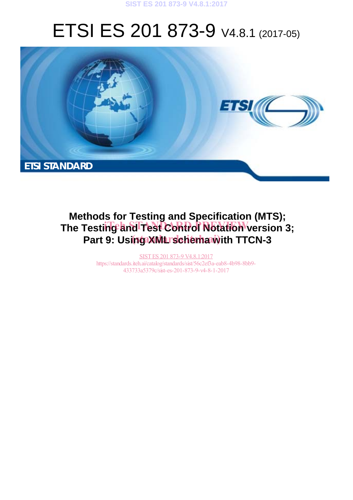#### **SIST ES 201 873-9 V4.8.1:2017**

# ETSI ES 201 873-9 V4.8.1 (2017-05)



# **Methods for Testing and Specification (MTS);** The Testing and Test Control Notation version 3; Part 9: Using XML rschemawith TTCN-3

SIST ES 201 873-9 V4.8.1:2017 https://standards.iteh.ai/catalog/standards/sist/56c2ef3a-eab8-4b98-8bb9- 433733a5379c/sist-es-201-873-9-v4-8-1-2017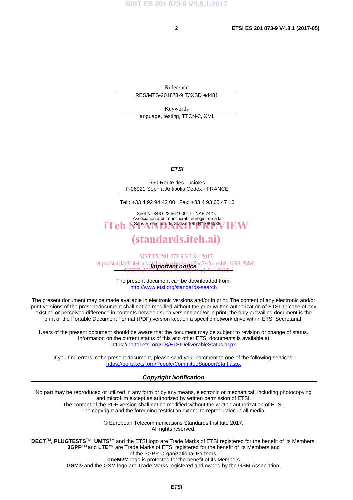Reference RES/MTS-201873-9 T3XSD ed481

Keywords language, testing, TTCN-3, XML

#### *ETSI*

650 Route des Lucioles F-06921 Sophia Antipolis Cedex - FRANCE

Tel.: +33 4 92 94 42 00 Fax: +33 4 93 65 47 16

Siret N° 348 623 562 00017 - NAF 742 C Association à but non lucratif enregistrée à la iTeh SSous-Préfecture de Grasse (06) N° 7803/88 / IEW

### (standards.iteh.ai)

*Important notice*  https://standards.iteh.ai/catalog/standards/sist/56c2ef3a-eab8-4b98-8bb9- SIST ES 201 873-9 V4.8.1:2017 433733a5379c/sist-es-201-873-9-v4-8-1-2017

> The present document can be downloaded from: http://www.etsi.org/standards-search

The present document may be made available in electronic versions and/or in print. The content of any electronic and/or print versions of the present document shall not be modified without the prior written authorization of ETSI. In case of any existing or perceived difference in contents between such versions and/or in print, the only prevailing document is the print of the Portable Document Format (PDF) version kept on a specific network drive within ETSI Secretariat.

Users of the present document should be aware that the document may be subject to revision or change of status. Information on the current status of this and other ETSI documents is available at https://portal.etsi.org/TB/ETSIDeliverableStatus.aspx

If you find errors in the present document, please send your comment to one of the following services: https://portal.etsi.org/People/CommiteeSupportStaff.aspx

#### *Copyright Notification*

No part may be reproduced or utilized in any form or by any means, electronic or mechanical, including photocopying and microfilm except as authorized by written permission of ETSI.

The content of the PDF version shall not be modified without the written authorization of ETSI. The copyright and the foregoing restriction extend to reproduction in all media.

> © European Telecommunications Standards Institute 2017. All rights reserved.

**DECT**TM, **PLUGTESTS**TM, **UMTS**TM and the ETSI logo are Trade Marks of ETSI registered for the benefit of its Members. **3GPP**TM and **LTE**™ are Trade Marks of ETSI registered for the benefit of its Members and of the 3GPP Organizational Partners.

**oneM2M** logo is protected for the benefit of its Members

**GSM**® and the GSM logo are Trade Marks registered and owned by the GSM Association.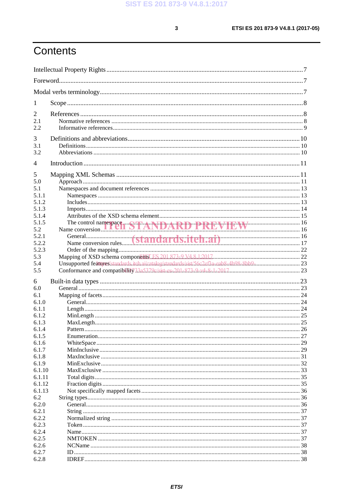$\mathbf{3}$ 

# Contents

| 1              |                                           |  |
|----------------|-------------------------------------------|--|
| 2              |                                           |  |
| 2.1            |                                           |  |
| 2.2            |                                           |  |
| 3              |                                           |  |
| 3.1            |                                           |  |
| 3.2            |                                           |  |
|                |                                           |  |
| $\overline{4}$ |                                           |  |
| 5              |                                           |  |
| 5.0            |                                           |  |
| 5.1            |                                           |  |
| 5.1.1          |                                           |  |
| 5.1.2          |                                           |  |
| 5.1.3          |                                           |  |
| 5.1.4<br>5.1.5 |                                           |  |
| 5.2            | The control namespace STANDARD PREVIEW 16 |  |
| 5.2.1          |                                           |  |
| 5.2.2          |                                           |  |
| 5.2.3          |                                           |  |
| 5.3            |                                           |  |
| 5.4            |                                           |  |
| 5.5            |                                           |  |
|                |                                           |  |
| 6              |                                           |  |
| 6.0            |                                           |  |
| 6.1<br>6.1.0   |                                           |  |
| 6.1.1          |                                           |  |
| 6.1.2          |                                           |  |
| 6.1.3          |                                           |  |
| 6.1.4          |                                           |  |
| 6.1.5          |                                           |  |
| 6.1.6          |                                           |  |
| 6.1.7          |                                           |  |
| 6.1.8          |                                           |  |
| 6.1.9          |                                           |  |
| 6.1.10         |                                           |  |
| 6.1.11         |                                           |  |
| 6.1.12         |                                           |  |
| 6.1.13         |                                           |  |
| 6.2            |                                           |  |
| 6.2.0          |                                           |  |
| 6.2.1          |                                           |  |
| 6.2.2          |                                           |  |
| 6.2.3          |                                           |  |
| 6.2.4          |                                           |  |
| 6.2.5          |                                           |  |
| 6.2.6<br>6.2.7 |                                           |  |
| 6.2.8          |                                           |  |
|                |                                           |  |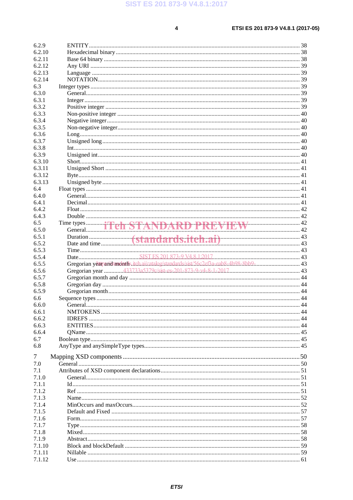$\overline{\mathbf{4}}$ 

| 6.2.9            |                                                                                      |        |
|------------------|--------------------------------------------------------------------------------------|--------|
|                  |                                                                                      |        |
| 6.2.10           |                                                                                      |        |
| 6.2.11           |                                                                                      |        |
| 6.2.12           |                                                                                      |        |
| 6.2.13           |                                                                                      |        |
| 6.2.14           |                                                                                      |        |
| 6.3              |                                                                                      |        |
| 6.3.0            |                                                                                      |        |
|                  |                                                                                      |        |
| 6.3.1            |                                                                                      |        |
| 6.3.2            |                                                                                      |        |
| 6.3.3            |                                                                                      |        |
| 6.3.4            |                                                                                      |        |
| 6.3.5            |                                                                                      |        |
| 6.3.6            |                                                                                      |        |
| 6.3.7            |                                                                                      |        |
|                  |                                                                                      |        |
| 6.3.8            |                                                                                      |        |
| 6.3.9            |                                                                                      |        |
| 6.3.10           |                                                                                      |        |
| 6.3.11           |                                                                                      |        |
| 6.3.12           |                                                                                      |        |
| 6.3.13           |                                                                                      |        |
|                  |                                                                                      |        |
| 6.4              |                                                                                      |        |
| 6.4.0            |                                                                                      |        |
| 6.4.1            |                                                                                      |        |
| 6.4.2            |                                                                                      |        |
| 6.4.3            |                                                                                      |        |
| 6.5              |                                                                                      |        |
| 6.5.0            | Time types <b>The STANDARD PREVIEW</b> 42                                            |        |
|                  |                                                                                      |        |
| 6.5.1            |                                                                                      |        |
| 6.5.2            |                                                                                      |        |
| 6.5.3            |                                                                                      |        |
|                  |                                                                                      |        |
| 6.5.4            |                                                                                      |        |
| 6.5.5            |                                                                                      |        |
|                  | Gregorian yeatpandtmonths.itch.ai/catalog/standards/sist/56c2ef3a-eab8-4b98-8bb9- 43 |        |
| 6.5.6            |                                                                                      |        |
| 6.5.7            |                                                                                      |        |
| 6.5.8            |                                                                                      |        |
| 6.5.9            |                                                                                      |        |
| 6.6              |                                                                                      |        |
| 6.6.0            |                                                                                      | . . 44 |
| 6.6.1            |                                                                                      |        |
|                  |                                                                                      |        |
| 6.6.2            |                                                                                      |        |
| 6.6.3            |                                                                                      |        |
| 6.6.4            |                                                                                      |        |
| 6.7              |                                                                                      |        |
| 6.8              |                                                                                      |        |
|                  |                                                                                      |        |
| 7                |                                                                                      |        |
| 7.0              |                                                                                      |        |
| 7.1              |                                                                                      |        |
| 7.1.0            |                                                                                      |        |
|                  |                                                                                      |        |
| 7.1.1            |                                                                                      |        |
| 7.1.2            |                                                                                      |        |
| 7.1.3            |                                                                                      |        |
| 7.1.4            |                                                                                      |        |
| 7.1.5            |                                                                                      |        |
| 7.1.6            |                                                                                      |        |
| 7.1.7            |                                                                                      |        |
| 7.1.8            |                                                                                      |        |
|                  |                                                                                      |        |
| 7.1.9            |                                                                                      |        |
| 7.1.10           |                                                                                      |        |
| 7.1.11<br>7.1.12 |                                                                                      |        |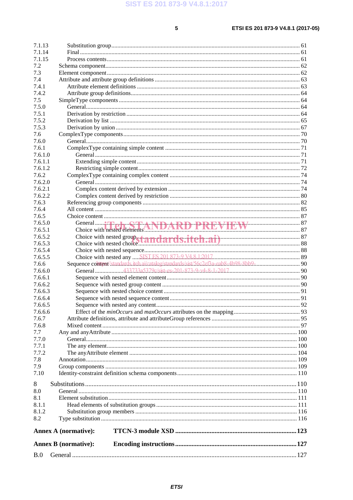| 7.1.13  |                             |                                                                                    |  |
|---------|-----------------------------|------------------------------------------------------------------------------------|--|
| 7.1.14  |                             |                                                                                    |  |
| 7.1.15  |                             |                                                                                    |  |
| 7.2     |                             |                                                                                    |  |
| 7.3     |                             |                                                                                    |  |
| 7.4     |                             |                                                                                    |  |
| 7.4.1   |                             |                                                                                    |  |
| 7.4.2   |                             |                                                                                    |  |
| 7.5     |                             |                                                                                    |  |
| 7.5.0   |                             |                                                                                    |  |
| 7.5.1   |                             |                                                                                    |  |
| 7.5.2   |                             |                                                                                    |  |
| 7.5.3   |                             |                                                                                    |  |
| 7.6     |                             |                                                                                    |  |
| 7.6.0   |                             |                                                                                    |  |
| 7.6.1   |                             |                                                                                    |  |
| 7.6.1.0 |                             |                                                                                    |  |
| 7.6.1.1 |                             |                                                                                    |  |
| 7.6.1.2 |                             |                                                                                    |  |
| 7.6.2   |                             |                                                                                    |  |
| 7.6.2.0 |                             |                                                                                    |  |
| 7.6.2.1 |                             |                                                                                    |  |
| 7.6.2.2 |                             |                                                                                    |  |
| 7.6.3   |                             |                                                                                    |  |
| 7.6.4   |                             |                                                                                    |  |
| 7.6.5   |                             |                                                                                    |  |
| 7.6.5.0 |                             |                                                                                    |  |
| 7.6.5.1 |                             |                                                                                    |  |
| 7.6.5.2 |                             |                                                                                    |  |
| 7.6.5.3 |                             |                                                                                    |  |
| 7.6.5.4 |                             |                                                                                    |  |
| 7.6.5.5 |                             |                                                                                    |  |
| 7.6.6   |                             | Sequence content/standards.itch.ai/catalog/standards/sist/56c2ef3a-eab8-4b98-8bb9- |  |
| 7.6.6.0 |                             |                                                                                    |  |
| 7.6.6.1 |                             |                                                                                    |  |
| 7.6.6.2 |                             |                                                                                    |  |
| 7.6.6.3 |                             |                                                                                    |  |
| 7.6.6.4 |                             |                                                                                    |  |
| 7.6.6.5 |                             |                                                                                    |  |
| 7.6.6.6 |                             |                                                                                    |  |
| 7.6.7   |                             |                                                                                    |  |
| 7.6.8   |                             |                                                                                    |  |
| 7.7     |                             |                                                                                    |  |
| 7.7.0   |                             |                                                                                    |  |
| 7.7.1   |                             |                                                                                    |  |
| 7.7.2   |                             |                                                                                    |  |
| 7.8     |                             |                                                                                    |  |
| 7.9     |                             |                                                                                    |  |
| 7.10    |                             |                                                                                    |  |
|         |                             |                                                                                    |  |
| 8       |                             |                                                                                    |  |
| 8.0     |                             |                                                                                    |  |
| 8.1     |                             |                                                                                    |  |
| 8.1.1   |                             |                                                                                    |  |
| 8.1.2   |                             |                                                                                    |  |
| 8.2     |                             |                                                                                    |  |
|         | <b>Annex A (normative):</b> |                                                                                    |  |
|         | <b>Annex B</b> (normative): |                                                                                    |  |
| B.0     |                             |                                                                                    |  |
|         |                             |                                                                                    |  |

#### **ETSI**

#### $5<sup>1</sup>$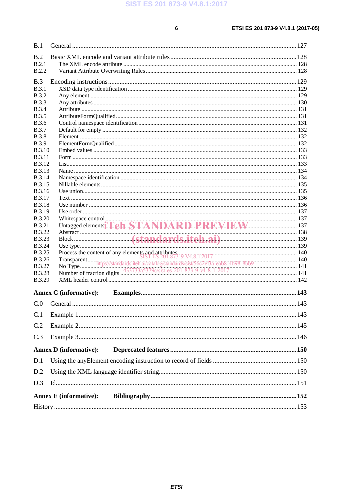| B.1           |                                              |  |
|---------------|----------------------------------------------|--|
| B.2           |                                              |  |
| B.2.1         |                                              |  |
| <b>B.2.2</b>  |                                              |  |
| B.3           |                                              |  |
| <b>B.3.1</b>  |                                              |  |
| <b>B.3.2</b>  |                                              |  |
| <b>B.3.3</b>  |                                              |  |
| <b>B.3.4</b>  |                                              |  |
| <b>B.3.5</b>  |                                              |  |
| <b>B.3.6</b>  |                                              |  |
| <b>B.3.7</b>  |                                              |  |
| <b>B.3.8</b>  |                                              |  |
| <b>B.3.9</b>  |                                              |  |
| <b>B.3.10</b> |                                              |  |
| <b>B.3.11</b> |                                              |  |
| <b>B.3.12</b> |                                              |  |
| <b>B.3.13</b> |                                              |  |
| <b>B.3.14</b> |                                              |  |
| B.3.15        |                                              |  |
| <b>B.3.16</b> |                                              |  |
| <b>B.3.17</b> |                                              |  |
| <b>B.3.18</b> |                                              |  |
| <b>B.3.19</b> |                                              |  |
| <b>B.3.20</b> |                                              |  |
| <b>B.3.21</b> |                                              |  |
| <b>B.3.22</b> |                                              |  |
| <b>B.3.23</b> | Abstract (Standards.iteh.ai)<br>Use type 139 |  |
| <b>B.3.24</b> |                                              |  |
| <b>B.3.25</b> |                                              |  |
| <b>B.3.26</b> |                                              |  |
| <b>B.3.27</b> |                                              |  |
| <b>B.3.28</b> |                                              |  |
| <b>B.3.29</b> |                                              |  |
|               | <b>Annex C</b> (informative):                |  |
|               |                                              |  |
| C.0           |                                              |  |
| C.1           |                                              |  |
| C.2           |                                              |  |
| C.3           |                                              |  |
|               |                                              |  |
|               | <b>Annex D</b> (informative):                |  |
| D.1           |                                              |  |
| D.2           |                                              |  |
| D.3           |                                              |  |
|               |                                              |  |
|               | <b>Annex E</b> (informative):                |  |
|               |                                              |  |

#### **ETSI**

#### $6\phantom{a}$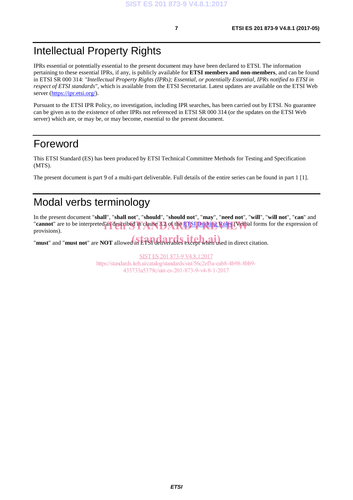# Intellectual Property Rights

IPRs essential or potentially essential to the present document may have been declared to ETSI. The information pertaining to these essential IPRs, if any, is publicly available for **ETSI members and non-members**, and can be found in ETSI SR 000 314: *"Intellectual Property Rights (IPRs); Essential, or potentially Essential, IPRs notified to ETSI in respect of ETSI standards"*, which is available from the ETSI Secretariat. Latest updates are available on the ETSI Web server (https://ipr.etsi.org/).

Pursuant to the ETSI IPR Policy, no investigation, including IPR searches, has been carried out by ETSI. No guarantee can be given as to the existence of other IPRs not referenced in ETSI SR 000 314 (or the updates on the ETSI Web server) which are, or may be, or may become, essential to the present document.

# Foreword

This ETSI Standard (ES) has been produced by ETSI Technical Committee Methods for Testing and Specification (MTS).

The present document is part 9 of a multi-part deliverable. Full details of the entire series can be found in part 1 [1].

# Modal verbs terminology

In the present document "**shall**", "**shall not**", "**should**", "**should not**", "**may**", "**need not**", "**will**", "**will not**", "**can**" and "**cannot**" are to be interpreted as described in clause 3.2 of the **ETSI Drafting Rules** (Verbal forms for the expression of provisions). provisions).

"**must**" and "**must not**" are **NOT** allowed in ETSI deliverables except when used in direct citation.

SIST ES 201 873-9 V4.8.1:2017 https://standards.iteh.ai/catalog/standards/sist/56c2ef3a-eab8-4b98-8bb9- 433733a5379c/sist-es-201-873-9-v4-8-1-2017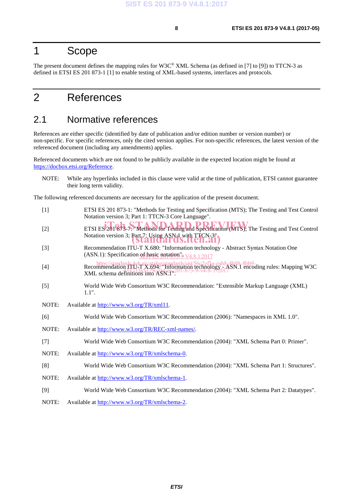### 1 Scope

The present document defines the mapping rules for W3C® XML Schema (as defined in [7] to [9]) to TTCN-3 as defined in ETSI ES 201 873-1 [1] to enable testing of XML-based systems, interfaces and protocols.

# 2 References

### 2.1 Normative references

References are either specific (identified by date of publication and/or edition number or version number) or non-specific. For specific references, only the cited version applies. For non-specific references, the latest version of the referenced document (including any amendments) applies.

Referenced documents which are not found to be publicly available in the expected location might be found at https://docbox.etsi.org/Reference.

NOTE: While any hyperlinks included in this clause were valid at the time of publication, ETSI cannot guarantee their long term validity.

The following referenced documents are necessary for the application of the present document.

| $[1]$ | ETSI ES 201 873-1: "Methods for Testing and Specification (MTS); The Testing and Test Control<br>Notation version 3; Part 1: TTCN-3 Core Language".                                                                                         |
|-------|---------------------------------------------------------------------------------------------------------------------------------------------------------------------------------------------------------------------------------------------|
| $[2]$ | ETSI ES 201873-7. Methods for Testing and Specification (MTS); The Testing and Test Control                                                                                                                                                 |
|       | Notation version 3; Part 7: Using ASN1 with TTCN-3"<br>stanualus.luen.al                                                                                                                                                                    |
| $[3]$ | Recommendation ITU-T X.680: "Information technology - Abstract Syntax Notation One<br>(ASN.1): Specification of basic notation $\frac{1}{9}$ V4.8.1.2017                                                                                    |
| $[4]$ | https://standards.jteh.ai/catalog/standards/sist/56c2ef3a-eab8-4h98-8bb9-<br>Recommendation 110-1 A.694: Information technology<br>National Half Assames, 201-8/1-9-y-9-9-2011<br>XML schema definitions into $\angle$ SSN.1 <sup>n</sup> . |
| $[5]$ | World Wide Web Consortium W3C Recommendation: "Extensible Markup Language (XML)<br>$1.1$ ".                                                                                                                                                 |
| NOTE: | Available at http://www.w3.org/TR/xml11.                                                                                                                                                                                                    |
| [6]   | World Wide Web Consortium W3C Recommendation (2006): "Namespaces in XML 1.0".                                                                                                                                                               |
| NOTE: | Available at http://www.w3.org/TR/REC-xml-names/.                                                                                                                                                                                           |
| $[7]$ | World Wide Web Consortium W3C Recommendation (2004): "XML Schema Part 0: Primer".                                                                                                                                                           |
| NOTE: | Available at http://www.w3.org/TR/xmlschema-0.                                                                                                                                                                                              |
| [8]   | World Wide Web Consortium W3C Recommendation (2004): "XML Schema Part 1: Structures".                                                                                                                                                       |
| NOTE: | Available at http://www.w3.org/TR/xmlschema-1.                                                                                                                                                                                              |
| [9]   | World Wide Web Consortium W3C Recommendation (2004): "XML Schema Part 2: Datatypes".                                                                                                                                                        |
| NOTE: | Available at http://www.w3.org/TR/xmlschema-2.                                                                                                                                                                                              |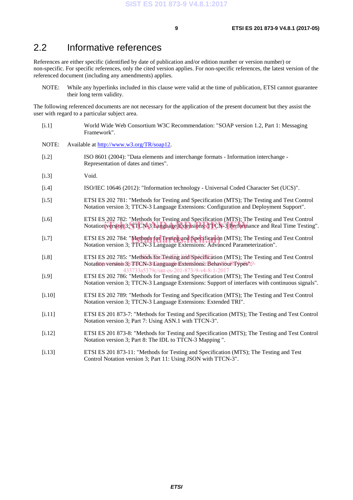### 2.2 Informative references

References are either specific (identified by date of publication and/or edition number or version number) or non-specific. For specific references, only the cited version applies. For non-specific references, the latest version of the referenced document (including any amendments) applies.

NOTE: While any hyperlinks included in this clause were valid at the time of publication, ETSI cannot guarantee their long term validity.

The following referenced documents are not necessary for the application of the present document but they assist the user with regard to a particular subject area.

- [i.1] World Wide Web Consortium W3C Recommendation: "SOAP version 1.2, Part 1: Messaging Framework".
- NOTE: Available at http://www.w3.org/TR/soap12.
- [i.2] ISO 8601 (2004): "Data elements and interchange formats Information interchange Representation of dates and times".
- [i.3] Void.
- [i.4] ISO/IEC 10646 (2012): "Information technology Universal Coded Character Set (UCS)".
- [i.5] ETSI ES 202 781: "Methods for Testing and Specification (MTS); The Testing and Test Control Notation version 3; TTCN-3 Language Extensions: Configuration and Deployment Support".
- [i.6] ETSI ES 202 782: "Methods for Testing and Specification (MTS); The Testing and Test Control Let British 2522 762. Memods for Testing and Specification (MTS), The Testing and Test Control Notation version 3; TTCN-3 Language Extensions: TTCN-3 Performance and Real Time Testing".
- [i.7] ETSI ES 202 784: "Methods for Testing and Specification (MTS); The Testing and Test Control Notation version 3: TTCN-3 I anguage Extensions: Advanced Parameterization" Notation version 3; TTCN-3 Language Extensions: Advanced Parameterization".
- [i.8] ETSI ES 202 785: "Methods for Testing and Specification (MTS); The Testing and Test Control Notationsversion 3; TTCN-3tLangtrage Extensions: Behaviour Types b9-433733a5379c/sist-es-201-873-9-v4-8-1-2017
- [i.9] ETSI ES 202 786: "Methods for Testing and Specification (MTS); The Testing and Test Control Notation version 3; TTCN-3 Language Extensions: Support of interfaces with continuous signals".
- [i.10] ETSI ES 202 789: "Methods for Testing and Specification (MTS); The Testing and Test Control Notation version 3; TTCN-3 Language Extensions: Extended TRI".
- [i.11] ETSI ES 201 873-7: "Methods for Testing and Specification (MTS); The Testing and Test Control Notation version 3; Part 7: Using ASN.1 with TTCN-3".
- [i.12] ETSI ES 201 873-8: "Methods for Testing and Specification (MTS); The Testing and Test Control Notation version 3; Part 8: The IDL to TTCN-3 Mapping ".
- [i.13] ETSI ES 201 873-11: "Methods for Testing and Specification (MTS); The Testing and Test Control Notation version 3; Part 11: Using JSON with TTCN-3".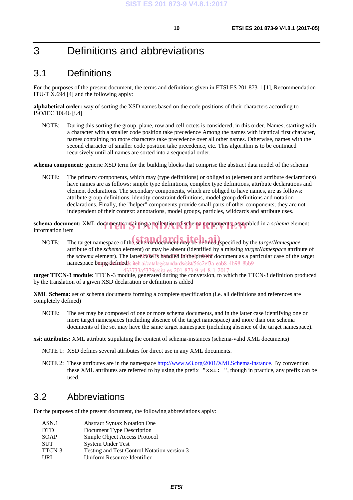### 3 Definitions and abbreviations

### 3.1 Definitions

For the purposes of the present document, the terms and definitions given in ETSI ES 201 873-1 [1], Recommendation ITU-T X.694 [4] and the following apply:

**alphabetical order:** way of sorting the XSD names based on the code positions of their characters according to ISO/IEC 10646 [i.4]

NOTE: During this sorting the group, plane, row and cell octets is considered, in this order. Names, starting with a character with a smaller code position take precedence Among the names with identical first character, names containing no more characters take precedence over all other names. Otherwise, names with the second character of smaller code position take precedence, etc. This algorithm is to be continued recursively until all names are sorted into a sequential order.

**schema component:** generic XSD term for the building blocks that comprise the abstract data model of the schema

NOTE: The primary components, which may (type definitions) or obliged to (element and attribute declarations) have names are as follows: simple type definitions, complex type definitions, attribute declarations and element declarations. The secondary components, which are obliged to have names, are as follows: attribute group definitions, identity-constraint definitions, model group definitions and notation declarations. Finally, the "helper" components provide small parts of other components; they are not independent of their context: annotations, model groups, particles, wildcards and attribute uses.

schema document: XML document containing a collection of schema components, assembled in a *schema* element information item information item

NOTE: The target namespace of the schema document may be defined (specified by the *targetNamespace* attribute of the *schema* element) or may be absent (identified by a missing *targetNamespace* attribute of the *schema* element). The latter case is handled in the present document as a particular case of the target namespace being/definedds.iteh.ai/catalog/standards/sist/56c2ef3a-eab8-4b98-8bb9-

**target TTCN-3 module:** TTCN-3 module, generated during the conversion, to which the TTCN-3 definition produced 433733a5379c/sist-es-201-873-9-v4-8-1-2017by the translation of a given XSD declaration or definition is added

**XML Schema:** set of schema documents forming a complete specification (i.e. all definitions and references are completely defined)

NOTE: The set may be composed of one or more schema documents, and in the latter case identifying one or more target namespaces (including absence of the target namespace) and more than one schema documents of the set may have the same target namespace (including absence of the target namespace).

**xsi: attributes:** XML attribute stipulating the content of schema-instances (schema-valid XML documents)

- NOTE 1: XSD defines several attributes for direct use in any XML documents.
- NOTE 2: These attributes are in the namespace http://www.w3.org/2001/XMLSchema-instance. By convention these XML attributes are referred to by using the prefix "xsi: ", though in practice, any prefix can be used.

#### 3.2 Abbreviations

For the purposes of the present document, the following abbreviations apply:

| ASN.1      | <b>Abstract Syntax Notation One</b>         |
|------------|---------------------------------------------|
| <b>DTD</b> | Document Type Description                   |
| SOAP       | Simple Object Access Protocol               |
| <b>SUT</b> | <b>System Under Test</b>                    |
| TTCN-3     | Testing and Test Control Notation version 3 |
| URI        | Uniform Resource Identifier                 |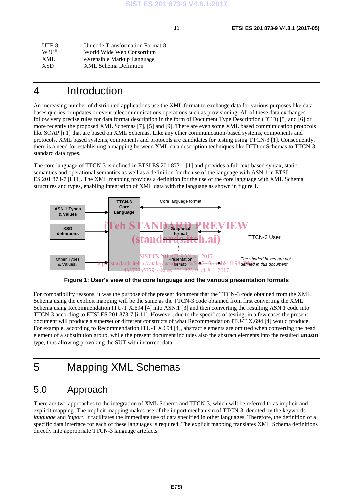| Unicode Transformation Format-8 |
|---------------------------------|
|                                 |
|                                 |
|                                 |
|                                 |

### 4 Introduction

An increasing number of distributed applications use the XML format to exchange data for various purposes like data bases queries or updates or event telecommunications operations such as provisioning. All of these data exchanges follow very precise rules for data format description in the form of Document Type Description (DTD) [5] and [6] or more recently the proposed XML Schemas [7], [5] and [9]. There are even some XML based communication protocols like SOAP [i.1] that are based on XML Schemas. Like any other communication-based systems, components and protocols, XML based systems, components and protocols are candidates for testing using TTCN-3 [1]. Consequently, there is a need for establishing a mapping between XML data description techniques like DTD or Schemas to TTCN-3 standard data types.

The core language of TTCN-3 is defined in ETSI ES 201 873-1 [1] and provides a full text-based syntax, static semantics and operational semantics as well as a definition for the use of the language with ASN.1 in ETSI ES 201 873-7 [i.11]. The XML mapping provides a definition for the use of the core language with XML Schema structures and types, enabling integration of XML data with the language as shown in figure 1.



**Figure 1: User's view of the core language and the various presentation formats** 

For compatibility reasons, it was the purpose of the present document that the TTCN-3 code obtained from the XML Schema using the explicit mapping will be the same as the TTCN-3 code obtained from first converting the XML Schema using Recommendation ITU-T X.694 [4] into ASN.1 [3] and then converting the resulting ASN.1 code into TTCN-3 according to ETSI ES 201 873-7 [i.11]. However, due to the specifics of testing, in a few cases the present document will produce a superset or different constructs of what Recommendation ITU-T X.694 [4] would produce. For example, according to Recommendation ITU-T X.694 [4], abstract elements are omitted when converting the head element of a substitution group, while the present document includes also the abstract elements into the resulted **union** type, thus allowing provoking the SUT with incorrect data.

# 5 Mapping XML Schemas

### 5.0 Approach

There are two approaches to the integration of XML Schema and TTCN-3, which will be referred to as implicit and explicit mapping. The implicit mapping makes use of the import mechanism of TTCN-3, denoted by the keywords *language* and *import*. It facilitates the immediate use of data specified in other languages. Therefore, the definition of a specific data interface for each of these languages is required. The explicit mapping translates XML Schema definitions directly into appropriate TTCN-3 language artefacts.

*ETSI*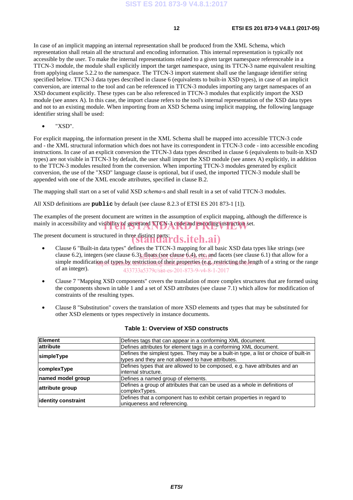In case of an implicit mapping an internal representation shall be produced from the XML Schema, which representation shall retain all the structural and encoding information. This internal representation is typically not accessible by the user. To make the internal representations related to a given target namespace referenceable in a TTCN-3 module, the module shall explicitly import the target namespace, using its TTCN-3 name equivalent resulting from applying clause 5.2.2 to the namespace. The TTCN-3 import statement shall use the language identifier string specified below. TTCN-3 data types described in clause 6 (equivalents to built-in XSD types), in case of an implicit conversion, are internal to the tool and can be referenced in TTCN-3 modules importing any target namespaces of an XSD document explicitly. These types can be also referenced in TTCN-3 modules that explicitly import the XSD module (see annex A). In this case, the import clause refers to the tool's internal representation of the XSD data types and not to an existing module. When importing from an XSD Schema using implicit mapping, the following language identifier string shall be used:

• "XSD".

For explicit mapping, the information present in the XML Schema shall be mapped into accessible TTCN-3 code and - the XML structural information which does not have its correspondent in TTCN-3 code - into accessible encoding instructions. In case of an explicit conversion the TTCN-3 data types described in clause 6 (equivalents to built-in XSD types) are not visible in TTCN-3 by default, the user shall import the XSD module (see annex A) explicitly, in addition to the TTCN-3 modules resulted from the conversion. When importing TTCN-3 modules generated by explicit conversion, the use of the "XSD" language clause is optional, but if used, the imported TTCN-3 module shall be appended with one of the XML encode attributes, specified in clause B.2.

The mapping shall start on a set of valid XSD *schema*-s and shall result in a set of valid TTCN-3 modules.

All XSD definitions are **public** by default (see clause 8.2.3 of ETSI ES 201 873-1 [1]).

The examples of the present document are written in the assumption of explicit mapping, although the difference is mainly in accessibility and visibility of generated TTCN-3 code and encoding instruction set.

The present document is structured in three distinct parts:  $\overline{d}s.iteh.ai)$ 

- Clause 6 "Built-in data types" defines the TTCN-3 mapping for all basic XSD data types like strings (see clause 6.2), integers (see clause 6.3), floats (see clause 6.4), etg. and facets (see clause 6.1) that allow for a simple modification of types by restriction of their properties (e.g. restricting the length of a string or the range of an integer). 433733a5379c/sist-es-201-873-9-v4-8-1-2017
- Clause 7 "Mapping XSD components" covers the translation of more complex structures that are formed using the components shown in table 1 and a set of XSD attributes (see clause 7.1) which allow for modification of constraints of the resulting types.
- Clause 8 "Substitution" covers the translation of more XSD elements and types that may be substituted for other XSD elements or types respectively in instance documents.

| <b>Element</b>      | Defines tags that can appear in a conforming XML document.                                                                                  |
|---------------------|---------------------------------------------------------------------------------------------------------------------------------------------|
| attribute           | Defines attributes for element tags in a conforming XML document.                                                                           |
| simpleType          | Defines the simplest types. They may be a built-in type, a list or choice of built-in<br>types and they are not allowed to have attributes. |
| complexType         | Defines types that are allowed to be composed, e.g. have attributes and an<br>internal structure.                                           |
| named model group   | Defines a named group of elements.                                                                                                          |
| attribute group     | Defines a group of attributes that can be used as a whole in definitions of<br>complexTypes.                                                |
| identity constraint | Defines that a component has to exhibit certain properties in regard to<br>uniqueness and referencing.                                      |

#### **Table 1: Overview of XSD constructs**